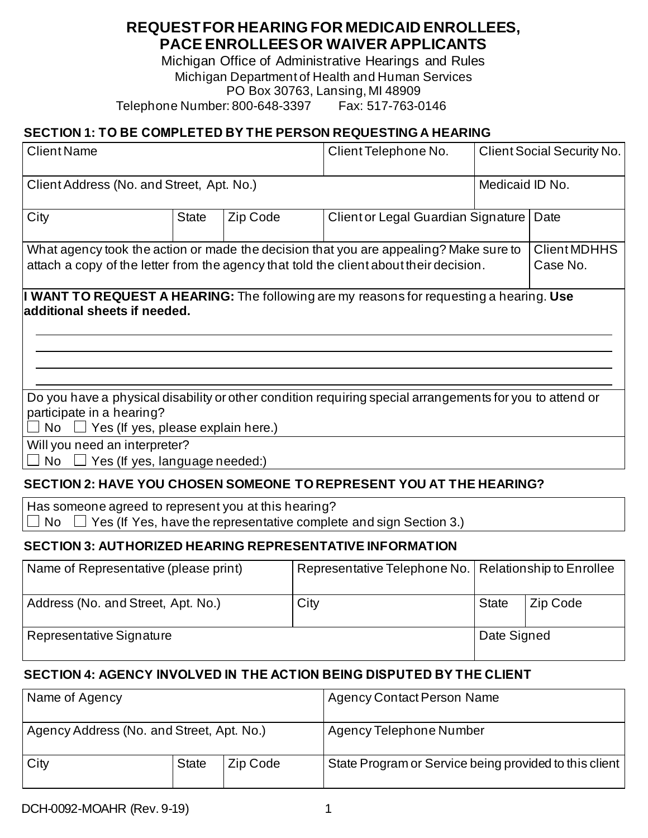## **REQUEST FOR HEARING FOR MEDICAID ENROLLEES, PACE ENROLLEES OR WAIVER APPLICANTS**

Michigan Office of Administrative Hearings and Rules Michigan Department of Health and Human Services PO Box 30763, Lansing, MI 48909 Telephone Number: 800-648-3397 Fax: 517-763-0146

#### **SECTION 1: TO BE COMPLETED BY THE PERSON REQUESTING A HEARING**

| <b>Client Name</b>                                                                                                                                                                       |              |                                                                                                                                                                                 | Client Telephone No.               |                 | <b>Client Social Security No.</b> |          |
|------------------------------------------------------------------------------------------------------------------------------------------------------------------------------------------|--------------|---------------------------------------------------------------------------------------------------------------------------------------------------------------------------------|------------------------------------|-----------------|-----------------------------------|----------|
| Client Address (No. and Street, Apt. No.)                                                                                                                                                |              |                                                                                                                                                                                 |                                    | Medicaid ID No. |                                   |          |
| City                                                                                                                                                                                     | <b>State</b> | Zip Code                                                                                                                                                                        | Client or Legal Guardian Signature |                 |                                   | Date     |
|                                                                                                                                                                                          |              | What agency took the action or made the decision that you are appealing? Make sure to<br>attach a copy of the letter from the agency that told the client about their decision. |                                    |                 |                                   |          |
| <b>I WANT TO REQUEST A HEARING:</b> The following are my reasons for requesting a hearing. Use<br>additional sheets if needed.                                                           |              |                                                                                                                                                                                 |                                    |                 |                                   |          |
|                                                                                                                                                                                          |              |                                                                                                                                                                                 |                                    |                 |                                   |          |
| Do you have a physical disability or other condition requiring special arrangements for you to attend or<br>participate in a hearing?<br>$\Box$ Yes (If yes, please explain here.)<br>No |              |                                                                                                                                                                                 |                                    |                 |                                   |          |
| Will you need an interpreter?<br><b>No</b><br>$\Box$ Yes (If yes, language needed:)                                                                                                      |              |                                                                                                                                                                                 |                                    |                 |                                   |          |
| SECTION 2: HAVE YOU CHOSEN SOMEONE TO REPRESENT YOU AT THE HEARING?                                                                                                                      |              |                                                                                                                                                                                 |                                    |                 |                                   |          |
| Has someone agreed to represent you at this hearing?<br>Yes (If Yes, have the representative complete and sign Section 3.)<br><b>No</b>                                                  |              |                                                                                                                                                                                 |                                    |                 |                                   |          |
| <b>SECTION 3: AUTHORIZED HEARING REPRESENTATIVE INFORMATION</b>                                                                                                                          |              |                                                                                                                                                                                 |                                    |                 |                                   |          |
| Name of Representative (please print)                                                                                                                                                    |              |                                                                                                                                                                                 | Representative Telephone No.       |                 | Relationship to Enrollee          |          |
| Address (No. and Street, Apt. No.)                                                                                                                                                       |              |                                                                                                                                                                                 | City                               |                 | <b>State</b>                      | Zip Code |
| Representative Signature                                                                                                                                                                 |              |                                                                                                                                                                                 |                                    |                 | Date Signed                       |          |

#### **SECTION 4: AGENCY INVOLVED IN THE ACTION BEING DISPUTED BY THE CLIENT**

| Name of Agency                            |              |          | <b>Agency Contact Person Name</b>                      |
|-------------------------------------------|--------------|----------|--------------------------------------------------------|
| Agency Address (No. and Street, Apt. No.) |              |          | Agency Telephone Number                                |
| City                                      | <b>State</b> | Zip Code | State Program or Service being provided to this client |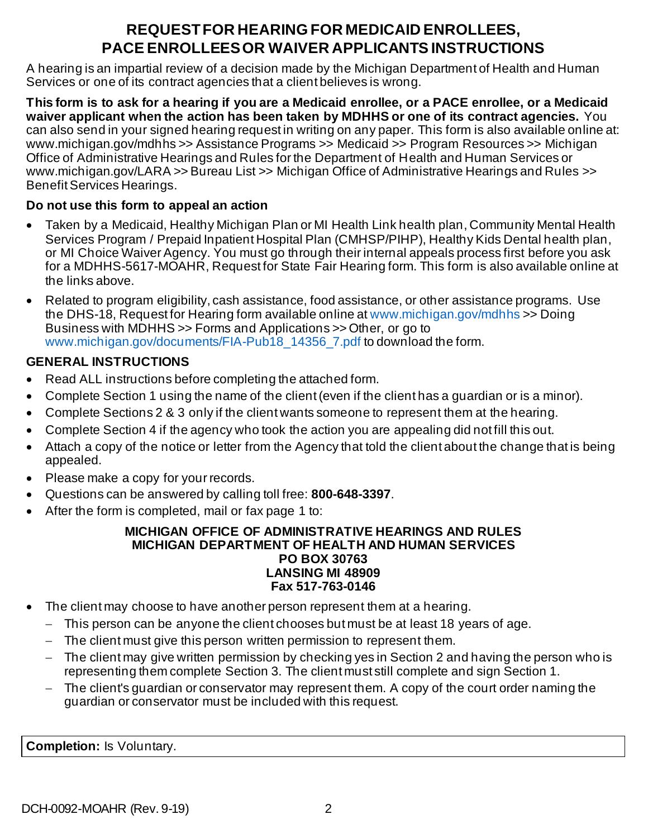# **REQUEST FOR HEARING FOR MEDICAID ENROLLEES, PACE ENROLLEES OR WAIVER APPLICANTS INSTRUCTIONS**

A hearing is an impartial review of a decision made by the Michigan Department of Health and Human Services or one of its contract agencies that a client believes is wrong.

**This form is to ask for a hearing if you are a Medicaid enrollee, or a PACE enrollee, or a Medicaid waiver applicant when the action has been taken by MDHHS or one of its contract agencies.** You can also send in your signed hearing request in writing on any paper. This form is also available online at: www.michigan.gov/mdhhs >> Assistance Programs >> Medicaid >> Program Resources >> Michigan Office of Administrative Hearings and Rules for the Department of Health and Human Services or www.michigan.gov/LARA >> Bureau List >> Michigan Office of Administrative Hearings and Rules >> Benefit Services Hearings.

#### **Do not use this form to appeal an action**

- Taken by a Medicaid, Healthy Michigan Plan or MI Health Link health plan, Community Mental Health Services Program / Prepaid Inpatient Hospital Plan (CMHSP/PIHP), Healthy Kids Dental health plan, or MI Choice Waiver Agency. You must go through their internal appeals process first before you ask for a MDHHS-5617-MOAHR, Request for State Fair Hearing form. This form is also available online at the links above.
- Related to program eligibility, cash assistance, food assistance, or other assistance programs. Use the DHS-18, Request for Hearing form available online at [www.michigan.gov/mdhhs](http://www.michigan.gov/mdhhs) >> Doing Business with MDHHS >> Forms and Applications >> Other, or go to [www.michigan.gov/documents/FIA-Pub18\\_14356\\_7.pdf](http://www.michigan.gov/documents/FIA-Pub18_14356_7.pdf) to download the form.

### **GENERAL INSTRUCTIONS**

- Read ALL instructions before completing the attached form.
- Complete Section 1 using the name of the client (even if the client has a guardian or is a minor).
- Complete Sections 2 & 3 only if the client wants someone to represent them at the hearing.
- Complete Section 4 if the agency who took the action you are appealing did not fill this out.
- Attach a copy of the notice or letter from the Agency that told the client about the change that is being appealed.
- Please make a copy for your records.
- Questions can be answered by calling toll free: **800-648-3397**.
- After the form is completed, mail or fax page 1 to:

#### **MICHIGAN OFFICE OF ADMINISTRATIVE HEARINGS AND RULES MICHIGAN DEPARTMENT OF HEALTH AND HUMAN SERVICES PO BOX 30763 LANSING MI 48909 Fax 517-763-0146**

- The client may choose to have another person represent them at a hearing.
	- − This person can be anyone the client chooses but must be at least 18 years of age.
	- − The client must give this person written permission to represent them.
	- − The client may give written permission by checking yes in Section 2 and having the person who is representing them complete Section 3. The client must still complete and sign Section 1.
	- − The client's guardian or conservator may represent them. A copy of the court order naming the guardian or conservator must be included with this request.

**Completion:** Is Voluntary.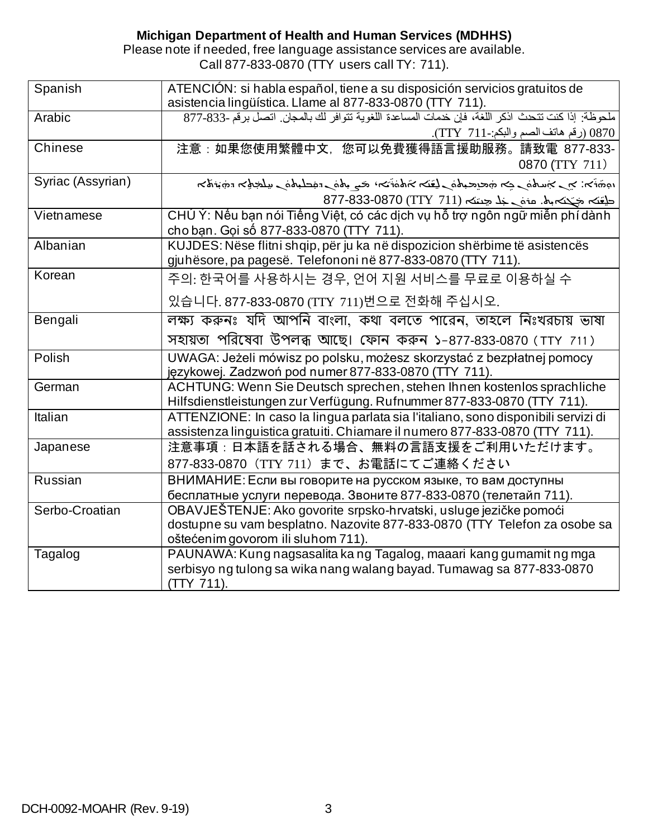#### **Michigan Department of Health and Human Services (MDHHS)**

Please note if needed, free language assistance services are available. Call 877-833-0870 (TTY users call TY: 711).

| Spanish           | ATENCIÓN: si habla español, tiene a su disposición servicios gratuitos de                                                                        |
|-------------------|--------------------------------------------------------------------------------------------------------------------------------------------------|
|                   | asistencia lingüística. Llame al 877-833-0870 (TTY 711).                                                                                         |
| Arabic            | ملحوظة: إذا كنت تتحث اذكر اللغة، فإن خدمات المساعدة اللغوية تتوافر لك بالمجان. اتصل برقم -833-877                                                |
|                   | 0870 (رقم هاتف الصم والبكم:-TTY 711).                                                                                                            |
| Chinese           | 注意:如果您使用繁體中文, 您可以免費獲得語言援助服務。請致電 877-833-                                                                                                         |
|                   | 0870 (TTY 711)                                                                                                                                   |
| Syriac (Assyrian) | المائغ المجملية المستحقة المستحمل المتابعة المتعملية المتعرفة المستحمل المستحرجة المتقامية المتعملية                                             |
|                   | طِعْنَه جَكِنَه بِهْ. عَوْمَ حَلِّهُ حِينَهُ (TTY 711) 877-833-0870                                                                              |
| Vietnamese        | CHÚ Ý: Nếu bạn nói Tiếng Việt, có các dịch vụ hỗ trợ ngôn ngữ miễn phí dành                                                                      |
|                   | cho bạn. Gọi số 877-833-0870 (TTY 711).                                                                                                          |
| Albanian          | KUJDES: Nëse flitni shqip, për ju ka në dispozicion shërbime të asistencës                                                                       |
|                   | gjuhësore, pa pagesë. Telefononi në 877-833-0870 (TTY 711).                                                                                      |
| Korean            | 주의: 한국어를 사용하시는 경우, 언어 지원 서비스를 무료로 이용하실 수                                                                                                         |
|                   | 있습니다. 877-833-0870 (TTY 711)번으로 전화해 주십시오.                                                                                                        |
| Bengali           | লক্ষ্য করুনঃ যদি আপনি বাংলা, কথা বলতে পারেন, তাহলে নিঃখরচায় ভাষা                                                                                |
|                   | সহায়তা পরিষেবা উপলব্ধ আছে। ফোন করুন ১-877-833-0870 (TTY 711)                                                                                    |
| Polish            | UWAGA: Jeżeli mówisz po polsku, możesz skorzystać z bezpłatnej pomocy                                                                            |
|                   | językowej. Zadzwoń pod numer 877-833-0870 (TTY 711).                                                                                             |
| German            | ACHTUNG: Wenn Sie Deutsch sprechen, stehen Ihnen kostenlos sprachliche<br>Hilfsdienstleistungen zur Verfügung. Rufnummer 877-833-0870 (TTY 711). |
| <b>Italian</b>    | ATTENZIONE: In caso la lingua parlata sia l'italiano, sono disponibili servizi di                                                                |
|                   | assistenza linguistica gratuiti. Chiamare il numero 877-833-0870 (TTY 711).                                                                      |
| Japanese          | 注意事項:日本語を話される場合、無料の言語支援をご利用いただけます。                                                                                                               |
|                   | 877-833-0870 (TTY 711) まで、お電話にてご連絡ください                                                                                                           |
| Russian           | ВНИМАНИЕ: Если вы говорите на русском языке, то вам доступны                                                                                     |
|                   | бесплатные услуги перевода. Звоните 877-833-0870 (телетайп 711).                                                                                 |
| Serbo-Croatian    | OBAVJEŠTENJE: Ako govorite srpsko-hrvatski, usluge jezičke pomoći                                                                                |
|                   | dostupne su vam besplatno. Nazovite 877-833-0870 (TTY Telefon za osobe sa                                                                        |
|                   | oštećenim govorom ili sluhom 711).                                                                                                               |
| Tagalog           | PAUNAWA: Kung nagsasalita ka ng Tagalog, maaari kang gumamit ng mga                                                                              |
|                   | serbisyo ng tulong sa wika nang walang bayad. Tumawag sa 877-833-0870                                                                            |
|                   | (TTY 711).                                                                                                                                       |